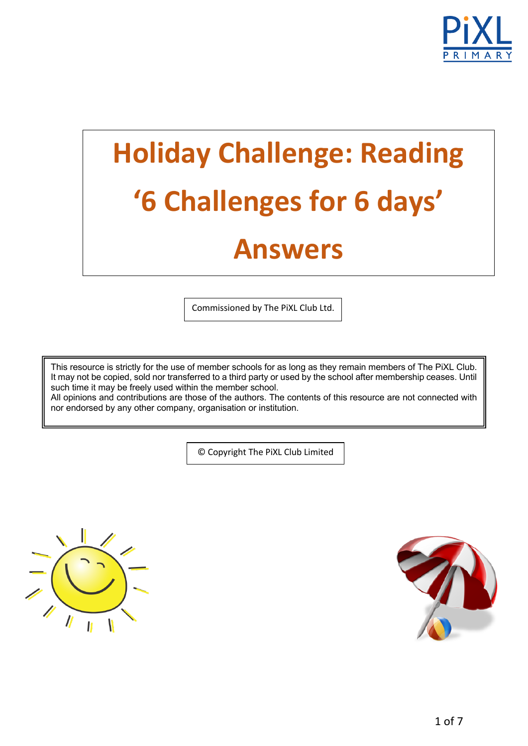

# **Holiday Challenge: Reading '6 Challenges for 6 days' Answers**

Commissioned by The PiXL Club Ltd.

This resource is strictly for the use of member schools for as long as they remain members of The PiXL Club. It may not be copied, sold nor transferred to a third party or used by the school after membership ceases. Until such time it may be freely used within the member school.

All opinions and contributions are those of the authors. The contents of this resource are not connected with nor endorsed by any other company, organisation or institution.

© Copyright The PiXL Club Limited



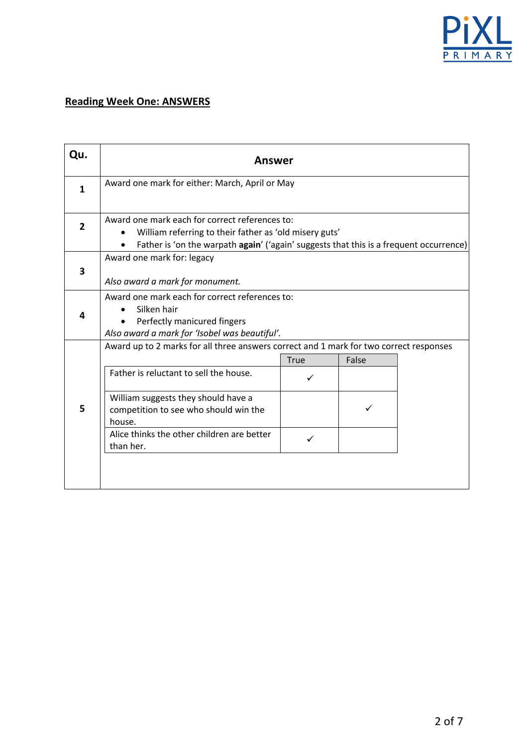

#### **Reading Week One: ANSWERS**

| Qu.            | <b>Answer</b>                                                                                                                                                                                      |             |       |  |
|----------------|----------------------------------------------------------------------------------------------------------------------------------------------------------------------------------------------------|-------------|-------|--|
| $\mathbf{1}$   | Award one mark for either: March, April or May                                                                                                                                                     |             |       |  |
| $\overline{2}$ | Award one mark each for correct references to:<br>William referring to their father as 'old misery guts'<br>Father is 'on the warpath again' ('again' suggests that this is a frequent occurrence) |             |       |  |
| 3              | Award one mark for: legacy<br>Also award a mark for monument.                                                                                                                                      |             |       |  |
| 4              | Award one mark each for correct references to:<br>Silken hair<br>Perfectly manicured fingers<br>Also award a mark for 'Isobel was beautiful'.                                                      |             |       |  |
|                | Award up to 2 marks for all three answers correct and 1 mark for two correct responses                                                                                                             |             |       |  |
|                |                                                                                                                                                                                                    | <b>True</b> | False |  |
|                | Father is reluctant to sell the house.                                                                                                                                                             |             |       |  |
| 5              | William suggests they should have a<br>competition to see who should win the<br>house.                                                                                                             |             |       |  |
|                | Alice thinks the other children are better<br>than her.                                                                                                                                            | ✓           |       |  |
|                |                                                                                                                                                                                                    |             |       |  |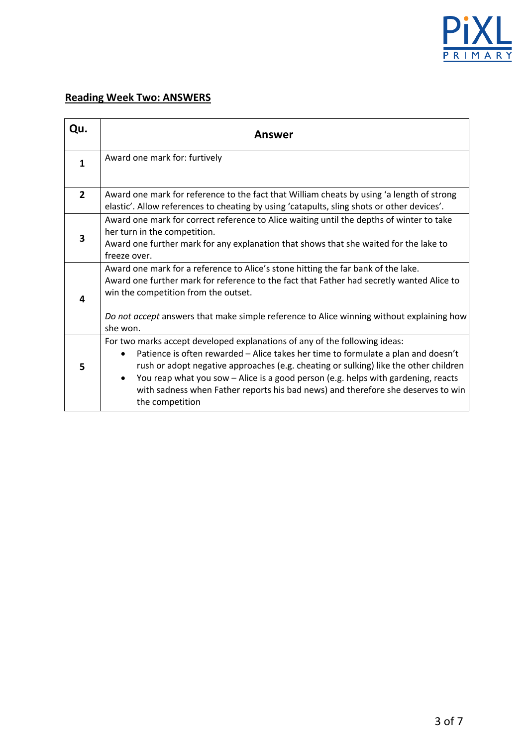

## **Reading Week Two: ANSWERS**

| Qu.            | Answer                                                                                                                                                                                                                                                                                                                                                                                                                                              |  |
|----------------|-----------------------------------------------------------------------------------------------------------------------------------------------------------------------------------------------------------------------------------------------------------------------------------------------------------------------------------------------------------------------------------------------------------------------------------------------------|--|
| $\mathbf{1}$   | Award one mark for: furtively                                                                                                                                                                                                                                                                                                                                                                                                                       |  |
| $\overline{2}$ | Award one mark for reference to the fact that William cheats by using 'a length of strong<br>elastic'. Allow references to cheating by using 'catapults, sling shots or other devices'.                                                                                                                                                                                                                                                             |  |
| 3              | Award one mark for correct reference to Alice waiting until the depths of winter to take<br>her turn in the competition.<br>Award one further mark for any explanation that shows that she waited for the lake to<br>freeze over.                                                                                                                                                                                                                   |  |
| 4              | Award one mark for a reference to Alice's stone hitting the far bank of the lake.<br>Award one further mark for reference to the fact that Father had secretly wanted Alice to<br>win the competition from the outset.<br>Do not accept answers that make simple reference to Alice winning without explaining how                                                                                                                                  |  |
|                | she won.                                                                                                                                                                                                                                                                                                                                                                                                                                            |  |
| 5              | For two marks accept developed explanations of any of the following ideas:<br>Patience is often rewarded - Alice takes her time to formulate a plan and doesn't<br>rush or adopt negative approaches (e.g. cheating or sulking) like the other children<br>You reap what you sow - Alice is a good person (e.g. helps with gardening, reacts<br>with sadness when Father reports his bad news) and therefore she deserves to win<br>the competition |  |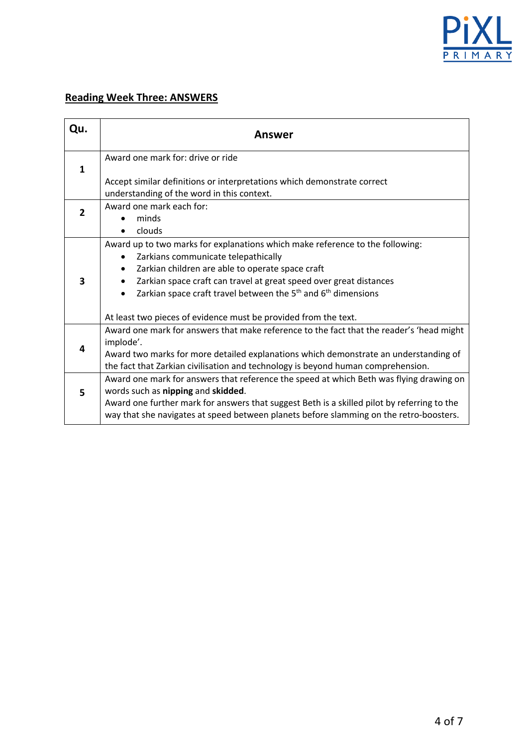

## **Reading Week Three: ANSWERS**

| Qu.            | Answer                                                                                      |
|----------------|---------------------------------------------------------------------------------------------|
|                | Award one mark for: drive or ride                                                           |
| $\mathbf{1}$   |                                                                                             |
|                | Accept similar definitions or interpretations which demonstrate correct                     |
|                | understanding of the word in this context.                                                  |
| $\overline{2}$ | Award one mark each for:                                                                    |
|                | minds                                                                                       |
|                | clouds                                                                                      |
|                | Award up to two marks for explanations which make reference to the following:               |
|                | Zarkians communicate telepathically<br>$\bullet$                                            |
| 3              | Zarkian children are able to operate space craft<br>٠                                       |
|                | Zarkian space craft can travel at great speed over great distances                          |
|                | Zarkian space craft travel between the $5th$ and $6th$ dimensions<br>$\bullet$              |
|                | At least two pieces of evidence must be provided from the text.                             |
| 4              | Award one mark for answers that make reference to the fact that the reader's 'head might    |
|                | implode'.                                                                                   |
|                | Award two marks for more detailed explanations which demonstrate an understanding of        |
|                | the fact that Zarkian civilisation and technology is beyond human comprehension.            |
| 5              | Award one mark for answers that reference the speed at which Beth was flying drawing on     |
|                | words such as nipping and skidded.                                                          |
|                | Award one further mark for answers that suggest Beth is a skilled pilot by referring to the |
|                | way that she navigates at speed between planets before slamming on the retro-boosters.      |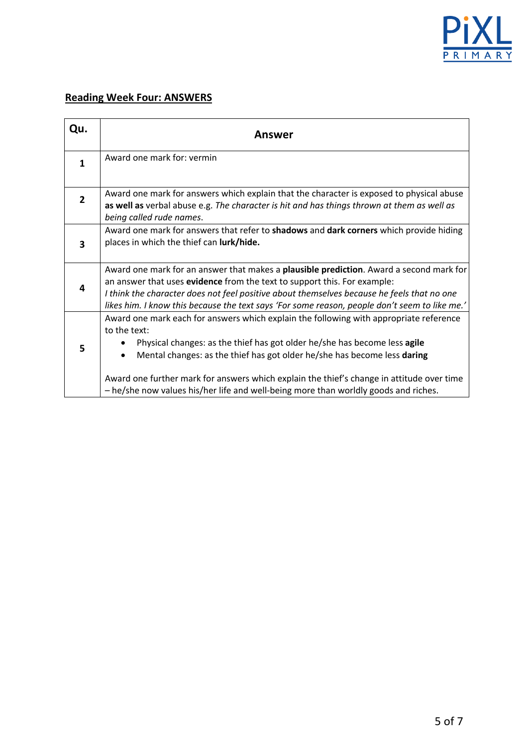

## **Reading Week Four: ANSWERS**

| Qu.            | Answer                                                                                                                                                                                                                                                                                                                                                             |  |
|----------------|--------------------------------------------------------------------------------------------------------------------------------------------------------------------------------------------------------------------------------------------------------------------------------------------------------------------------------------------------------------------|--|
| 1              | Award one mark for: vermin                                                                                                                                                                                                                                                                                                                                         |  |
| $\overline{2}$ | Award one mark for answers which explain that the character is exposed to physical abuse<br>as well as verbal abuse e.g. The character is hit and has things thrown at them as well as<br>being called rude names.                                                                                                                                                 |  |
| 3              | Award one mark for answers that refer to shadows and dark corners which provide hiding<br>places in which the thief can lurk/hide.                                                                                                                                                                                                                                 |  |
| 4              | Award one mark for an answer that makes a plausible prediction. Award a second mark for<br>an answer that uses evidence from the text to support this. For example:<br>I think the character does not feel positive about themselves because he feels that no one<br>likes him. I know this because the text says 'For some reason, people don't seem to like me.' |  |
| 5              | Award one mark each for answers which explain the following with appropriate reference<br>to the text:<br>Physical changes: as the thief has got older he/she has become less agile<br>Mental changes: as the thief has got older he/she has become less daring                                                                                                    |  |
|                | Award one further mark for answers which explain the thief's change in attitude over time<br>- he/she now values his/her life and well-being more than worldly goods and riches.                                                                                                                                                                                   |  |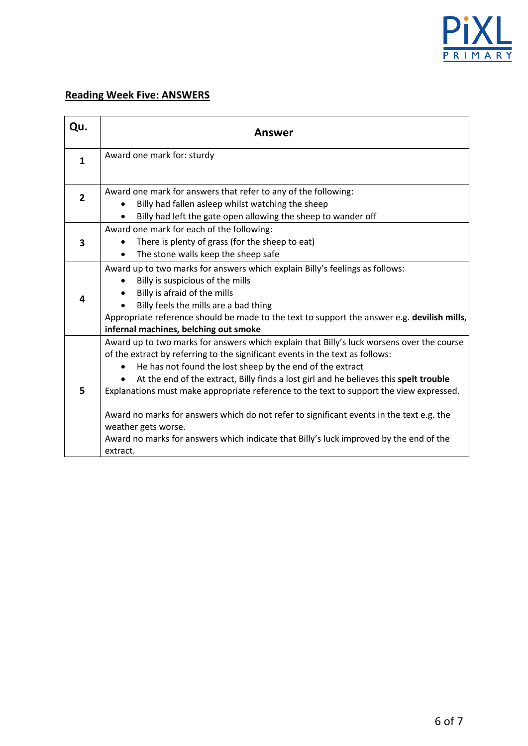

## **Reading Week Five: ANSWERS**

| Qu.            | Answer                                                                                                                                                                                                                                                                                                                                                                                                                                                                                                                                                                                                                                               |  |  |
|----------------|------------------------------------------------------------------------------------------------------------------------------------------------------------------------------------------------------------------------------------------------------------------------------------------------------------------------------------------------------------------------------------------------------------------------------------------------------------------------------------------------------------------------------------------------------------------------------------------------------------------------------------------------------|--|--|
| $\mathbf{1}$   | Award one mark for: sturdy                                                                                                                                                                                                                                                                                                                                                                                                                                                                                                                                                                                                                           |  |  |
| $\overline{2}$ | Award one mark for answers that refer to any of the following:<br>Billy had fallen asleep whilst watching the sheep<br>Billy had left the gate open allowing the sheep to wander off                                                                                                                                                                                                                                                                                                                                                                                                                                                                 |  |  |
| 3              | Award one mark for each of the following:<br>There is plenty of grass (for the sheep to eat)<br>The stone walls keep the sheep safe                                                                                                                                                                                                                                                                                                                                                                                                                                                                                                                  |  |  |
| 4              | Award up to two marks for answers which explain Billy's feelings as follows:<br>Billy is suspicious of the mills<br>Billy is afraid of the mills<br>Billy feels the mills are a bad thing<br>Appropriate reference should be made to the text to support the answer e.g. devilish mills,<br>infernal machines, belching out smoke                                                                                                                                                                                                                                                                                                                    |  |  |
| 5              | Award up to two marks for answers which explain that Billy's luck worsens over the course<br>of the extract by referring to the significant events in the text as follows:<br>He has not found the lost sheep by the end of the extract<br>At the end of the extract, Billy finds a lost girl and he believes this spelt trouble<br>Explanations must make appropriate reference to the text to support the view expressed.<br>Award no marks for answers which do not refer to significant events in the text e.g. the<br>weather gets worse.<br>Award no marks for answers which indicate that Billy's luck improved by the end of the<br>extract. |  |  |